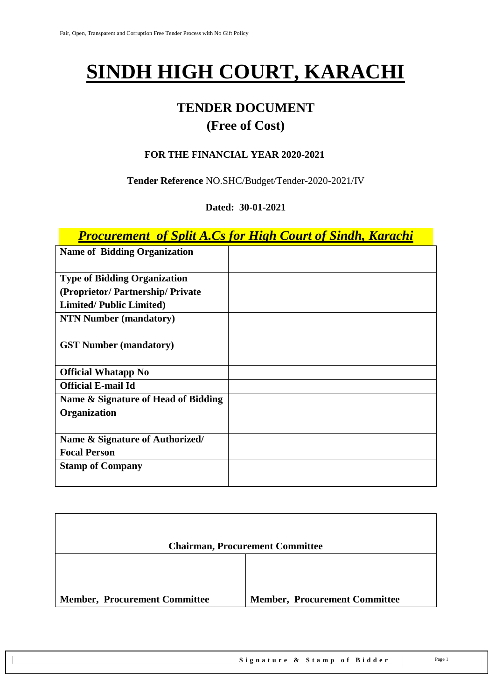# **SINDH HIGH COURT, KARACHI**

## **TENDER DOCUMENT (Free of Cost)**

#### **FOR THE FINANCIAL YEAR 2020-2021**

#### **Tender Reference** NO.SHC/Budget/Tender-2020-2021/IV

#### **Dated: 30-01-2021**

## *Procurement of Split A.Cs for High Court of Sindh, Karachi*

| <b>Name of Bidding Organization</b> |  |
|-------------------------------------|--|
| <b>Type of Bidding Organization</b> |  |
| (Proprietor/Partnership/Private)    |  |
| <b>Limited/Public Limited)</b>      |  |
| <b>NTN Number (mandatory)</b>       |  |
| <b>GST Number (mandatory)</b>       |  |
| <b>Official Whatapp No</b>          |  |
| <b>Official E-mail Id</b>           |  |
| Name & Signature of Head of Bidding |  |
| Organization                        |  |
|                                     |  |
| Name & Signature of Authorized/     |  |
| <b>Focal Person</b>                 |  |
| <b>Stamp of Company</b>             |  |

|                                      | <b>Chairman, Procurement Committee</b> |
|--------------------------------------|----------------------------------------|
|                                      |                                        |
| <b>Member, Procurement Committee</b> | <b>Member, Procurement Committee</b>   |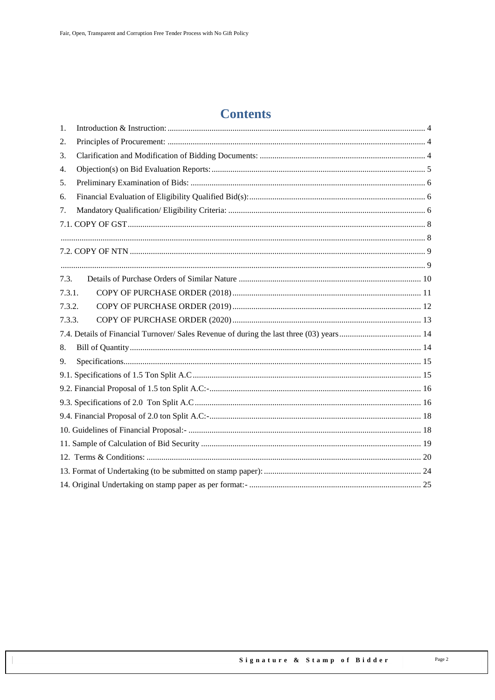## **Contents**

| 1.     |  |  |
|--------|--|--|
| 2.     |  |  |
| 3.     |  |  |
| 4.     |  |  |
| 5.     |  |  |
| 6.     |  |  |
| 7.     |  |  |
|        |  |  |
|        |  |  |
|        |  |  |
|        |  |  |
| 7.3.   |  |  |
| 7.3.1. |  |  |
| 7.3.2. |  |  |
| 7.3.3. |  |  |
|        |  |  |
| 8.     |  |  |
| 9.     |  |  |
|        |  |  |
|        |  |  |
|        |  |  |
|        |  |  |
|        |  |  |
|        |  |  |
|        |  |  |
|        |  |  |
|        |  |  |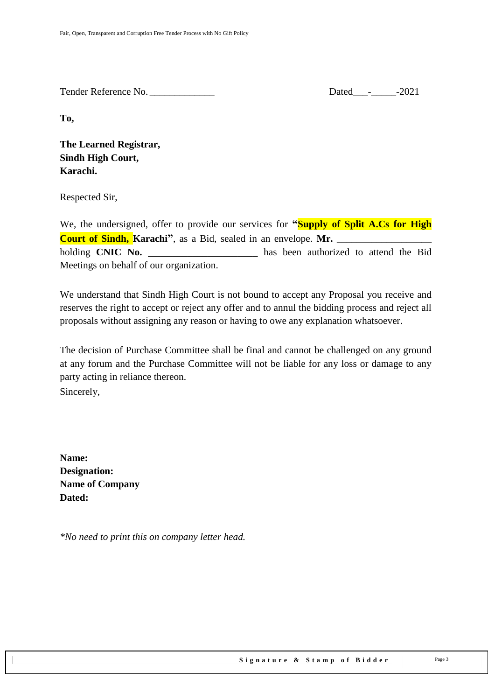Tender Reference No. \_\_\_\_\_\_\_\_\_\_\_\_\_ Dated\_\_\_-\_\_\_\_\_-2021

**To,** 

**The Learned Registrar, Sindh High Court, Karachi.**

Respected Sir,

We, the undersigned, offer to provide our services for **"Supply of Split A.Cs for High Court of Sindh, Karachi**<sup>"</sup>, as a Bid, sealed in an envelope. Mr. holding **CNIC No. \_\_\_\_\_\_\_\_\_\_\_\_\_\_\_\_\_\_\_\_\_\_** has been authorized to attend the Bid Meetings on behalf of our organization.

We understand that Sindh High Court is not bound to accept any Proposal you receive and reserves the right to accept or reject any offer and to annul the bidding process and reject all proposals without assigning any reason or having to owe any explanation whatsoever.

The decision of Purchase Committee shall be final and cannot be challenged on any ground at any forum and the Purchase Committee will not be liable for any loss or damage to any party acting in reliance thereon.

Sincerely,

**Name: Designation: Name of Company Dated:**

*\*No need to print this on company letter head.*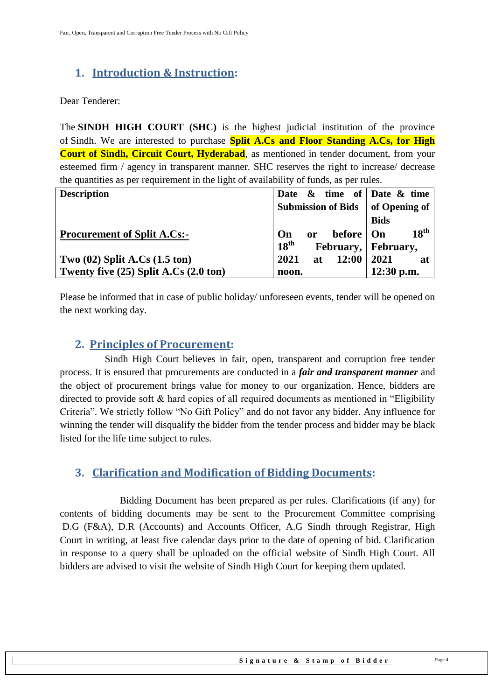## <span id="page-3-0"></span>**1. Introduction & Instruction:**

Dear Tenderer:

The **SINDH HIGH COURT (SHC)** is the highest judicial institution of the province of [Sindh.](https://en.wikipedia.org/wiki/Sindh) We are interested to purchase **Split A.Cs and Floor Standing A.Cs, for High Court of Sindh, Circuit Court, Hyderabad**, as mentioned in tender document, from your esteemed firm / agency in transparent manner. SHC reserves the right to increase/ decrease the quantities as per requirement in the light of availability of funds, as per rules.

| <b>Description</b>                                | Date $\&$ time of Date $\&$ time        |                        |
|---------------------------------------------------|-----------------------------------------|------------------------|
|                                                   | <b>Submission of Bids</b>               | of Opening of          |
|                                                   |                                         | <b>Bids</b>            |
| <b>Procurement of Split A.Cs:-</b>                | before  <br>On<br>or                    | 18 <sup>th</sup><br>On |
|                                                   | $18^{\text{th}}$<br>February, February, |                        |
| Two $(02)$ Split A.Cs $(1.5 \text{ ton})$         | 2021<br>12:00<br>at                     | 2021<br>at             |
| Twenty five $(25)$ Split A.Cs $(2.0 \text{ ton})$ | noon.                                   | 12:30 p.m.             |

<span id="page-3-1"></span>Please be informed that in case of public holiday/ unforeseen events, tender will be opened on the next working day.

#### **2. Principles of Procurement:**

 Sindh High Court believes in fair, open, transparent and corruption free tender process. It is ensured that procurements are conducted in a *fair and transparent manner* and the object of procurement brings value for money to our organization. Hence, bidders are directed to provide soft  $\&$  hard copies of all required documents as mentioned in "Eligibility" Criteria". We strictly follow "No Gift Policy" and do not favor any bidder. Any influence for winning the tender will disqualify the bidder from the tender process and bidder may be black listed for the life time subject to rules.

### <span id="page-3-2"></span>**3. Clarification and Modification of Bidding Documents:**

Bidding Document has been prepared as per rules. Clarifications (if any) for contents of bidding documents may be sent to the Procurement Committee comprising D.G (F&A), D.R (Accounts) and Accounts Officer, A.G Sindh through Registrar, High Court in writing, at least five calendar days prior to the date of opening of bid. Clarification in response to a query shall be uploaded on the official website of Sindh High Court. All bidders are advised to visit the website of Sindh High Court for keeping them updated.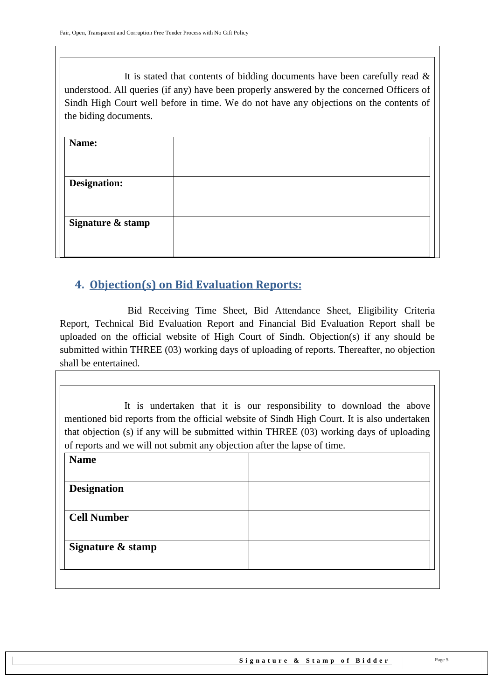It is stated that contents of bidding documents have been carefully read  $\&$ understood. All queries (if any) have been properly answered by the concerned Officers of Sindh High Court well before in time. We do not have any objections on the contents of the biding documents.

| Name:               |  |
|---------------------|--|
| <b>Designation:</b> |  |
| Signature & stamp   |  |
|                     |  |

## <span id="page-4-0"></span>**4. Objection(s) on Bid Evaluation Reports:**

 Bid Receiving Time Sheet, Bid Attendance Sheet, Eligibility Criteria Report, Technical Bid Evaluation Report and Financial Bid Evaluation Report shall be uploaded on the official website of High Court of Sindh. Objection(s) if any should be submitted within THREE (03) working days of uploading of reports. Thereafter, no objection shall be entertained.

It is undertaken that it is our responsibility to download the above mentioned bid reports from the official website of Sindh High Court. It is also undertaken that objection (s) if any will be submitted within THREE (03) working days of uploading of reports and we will not submit any objection after the lapse of time.

| <b>Name</b>        |  |  |
|--------------------|--|--|
| <b>Designation</b> |  |  |
| <b>Cell Number</b> |  |  |
| Signature & stamp  |  |  |
|                    |  |  |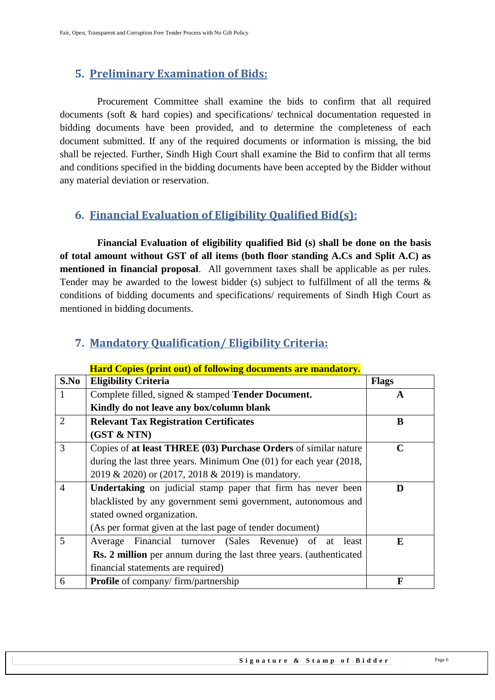## <span id="page-5-0"></span>**5. Preliminary Examination of Bids:**

 Procurement Committee shall examine the bids to confirm that all required documents (soft & hard copies) and specifications/ technical documentation requested in bidding documents have been provided, and to determine the completeness of each document submitted. If any of the required documents or information is missing, the bid shall be rejected. Further, Sindh High Court shall examine the Bid to confirm that all terms and conditions specified in the bidding documents have been accepted by the Bidder without any material deviation or reservation.

## <span id="page-5-1"></span>**6. Financial Evaluation of Eligibility Qualified Bid(s):**

 **Financial Evaluation of eligibility qualified Bid (s) shall be done on the basis of total amount without GST of all items (both floor standing A.Cs and Split A.C) as mentioned in financial proposal**. All government taxes shall be applicable as per rules. Tender may be awarded to the lowest bidder (s) subject to fulfillment of all the terms  $\&$ conditions of bidding documents and specifications/ requirements of Sindh High Court as mentioned in bidding documents.

|                | <u>Hard Copies (print out) of following documents are mandatory.</u>        |              |  |
|----------------|-----------------------------------------------------------------------------|--------------|--|
| S.No           | <b>Eligibility Criteria</b>                                                 | <b>Flags</b> |  |
|                | Complete filled, signed & stamped Tender Document.                          | A            |  |
|                | Kindly do not leave any box/column blank                                    |              |  |
| $\overline{2}$ | <b>Relevant Tax Registration Certificates</b>                               | B            |  |
|                | (GST & NTN)                                                                 |              |  |
| 3              | Copies of at least THREE (03) Purchase Orders of similar nature             | $\mathbf C$  |  |
|                | during the last three years. Minimum One $(01)$ for each year $(2018, 100)$ |              |  |
|                | 2019 & 2020) or (2017, 2018 & 2019) is mandatory.                           |              |  |
| $\overline{4}$ | <b>Undertaking</b> on judicial stamp paper that firm has never been<br>D    |              |  |
|                | blacklisted by any government semi government, autonomous and               |              |  |
|                | stated owned organization.                                                  |              |  |
|                | (As per format given at the last page of tender document)                   |              |  |
| 5              | Average Financial turnover (Sales Revenue) of at<br>least                   | E            |  |
|                | <b>Rs. 2 million</b> per annum during the last three years. (authenticated  |              |  |
|                | financial statements are required)                                          |              |  |
| 6              | <b>Profile</b> of company/firm/partnership                                  | F            |  |

### <span id="page-5-2"></span>**7. Mandatory Qualification/ Eligibility Criteria:**

**Hard Copies (print out) of following documents are mandatory.**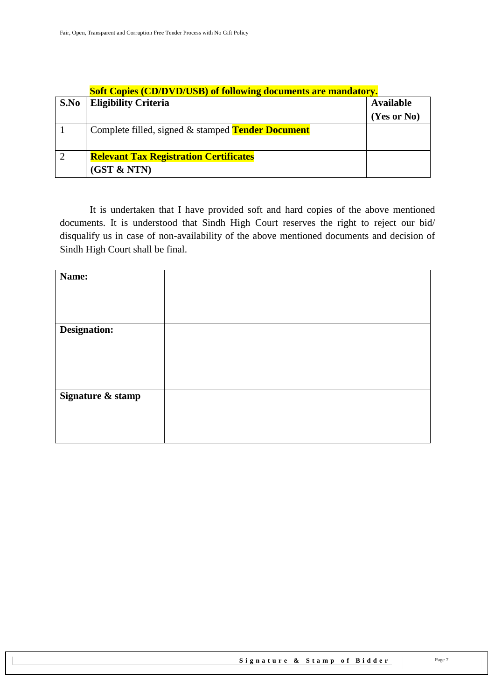|      | <b>Soft Copies (CD/DVD/USB) of following documents are mandatory.</b> |                  |  |
|------|-----------------------------------------------------------------------|------------------|--|
| S.No | <b>Eligibility Criteria</b>                                           | <b>Available</b> |  |
|      |                                                                       | (Yes or No)      |  |
|      | Complete filled, signed & stamped <b>Tender Document</b>              |                  |  |
| 2    | <b>Relevant Tax Registration Certificates</b>                         |                  |  |
|      | (GST & NTN)                                                           |                  |  |

It is undertaken that I have provided soft and hard copies of the above mentioned documents. It is understood that Sindh High Court reserves the right to reject our bid/ disqualify us in case of non-availability of the above mentioned documents and decision of Sindh High Court shall be final.

| Name:             |  |
|-------------------|--|
|                   |  |
|                   |  |
|                   |  |
| Designation:      |  |
|                   |  |
|                   |  |
|                   |  |
|                   |  |
| Signature & stamp |  |
|                   |  |
|                   |  |
|                   |  |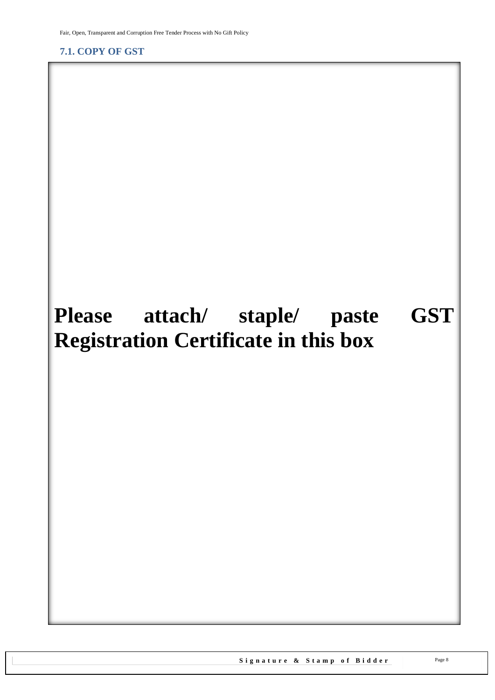<span id="page-7-1"></span><span id="page-7-0"></span>**7.1. COPY OF GST**

## **Please attach/ staple/ paste GST Registration Certificate in this box**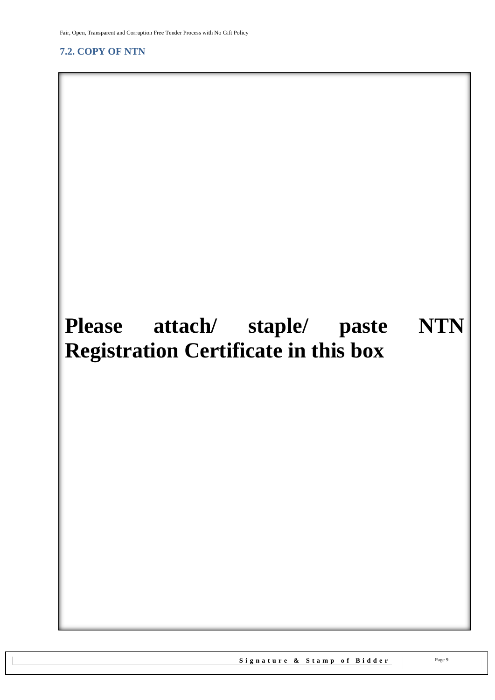<span id="page-8-1"></span>Fair, Open, Transparent and Corruption Free Tender Process with No Gift Policy

#### <span id="page-8-0"></span>**7.2. COPY OF NTN**

## **Please attach/ staple/ paste NTN Registration Certificate in this box**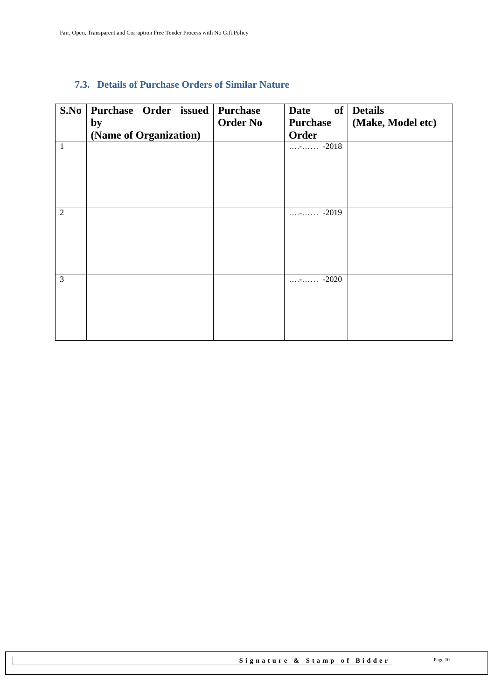#### <span id="page-9-0"></span>**7.3. Details of Purchase Orders of Similar Nature**

| S.No           | Purchase Order issued Purchase<br>by<br>(Name of Organization) | <b>Order No</b> | <b>Date</b><br><b>Purchase</b><br>Order | of Details<br>(Make, Model etc) |
|----------------|----------------------------------------------------------------|-----------------|-----------------------------------------|---------------------------------|
| $\mathbf{1}$   |                                                                |                 | $\cdots$ - $\cdots$ -2018               |                                 |
|                |                                                                |                 |                                         |                                 |
|                |                                                                |                 |                                         |                                 |
| $\overline{2}$ |                                                                |                 | $-2019$<br>1.1.77.1.1.1.1               |                                 |
|                |                                                                |                 |                                         |                                 |
|                |                                                                |                 |                                         |                                 |
|                |                                                                |                 |                                         |                                 |
| 3              |                                                                |                 | $\cdots$ - $\cdots$ -2020               |                                 |
|                |                                                                |                 |                                         |                                 |
|                |                                                                |                 |                                         |                                 |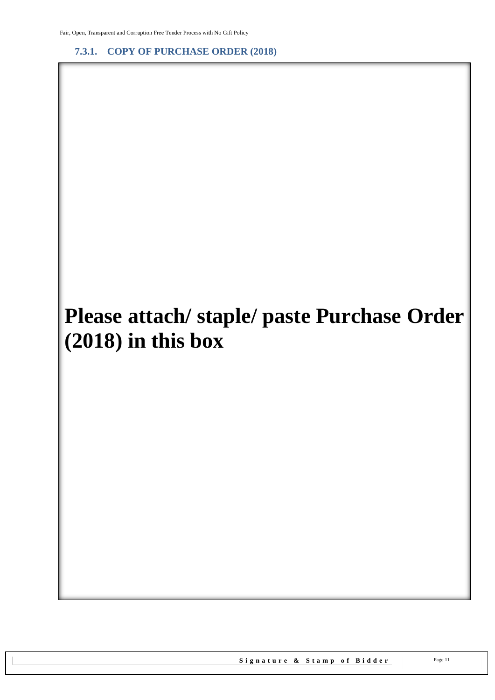<span id="page-10-0"></span>**7.3.1. COPY OF PURCHASE ORDER (2018)**

# **Please attach/ staple/ paste Purchase Order (2018) in this box**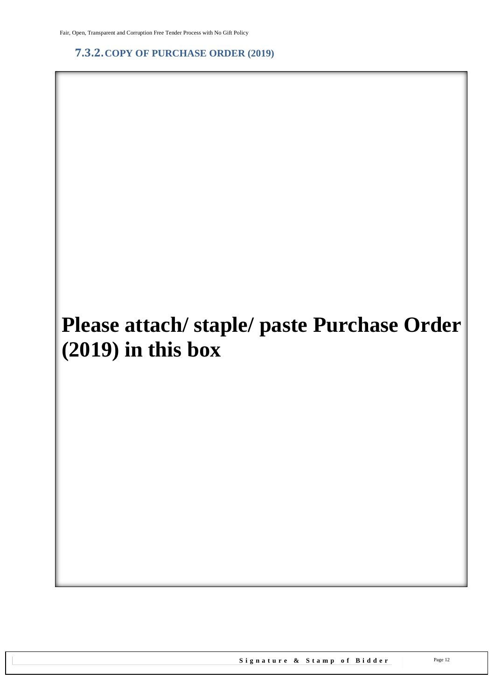<span id="page-11-0"></span>**7.3.2.COPY OF PURCHASE ORDER (2019)**

# **Please attach/ staple/ paste Purchase Order (2019) in this box**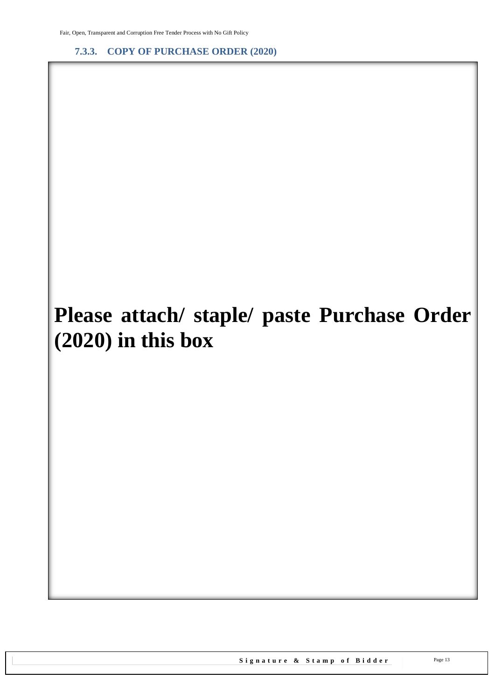<span id="page-12-0"></span>**7.3.3. COPY OF PURCHASE ORDER (2020)**

# **Please attach/ staple/ paste Purchase Order (2020) in this box**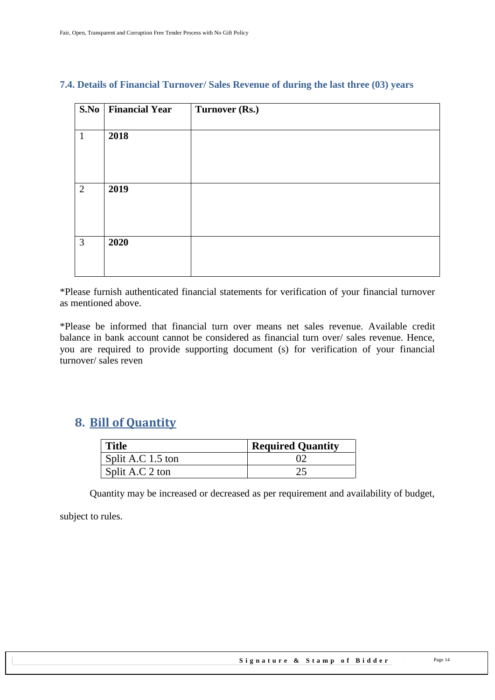| $\overline{\mathbf{S}}.\mathbf{No}$ | <b>Financial Year</b> | Turnover (Rs.) |
|-------------------------------------|-----------------------|----------------|
| $\mathbf{1}$                        | 2018                  |                |
| 2                                   | 2019                  |                |
| 3                                   | 2020                  |                |

#### <span id="page-13-0"></span>**7.4. Details of Financial Turnover/ Sales Revenue of during the last three (03) years**

\*Please furnish authenticated financial statements for verification of your financial turnover as mentioned above.

\*Please be informed that financial turn over means net sales revenue. Available credit balance in bank account cannot be considered as financial turn over/ sales revenue. Hence, you are required to provide supporting document (s) for verification of your financial turnover/ sales reven

## <span id="page-13-1"></span>**8. Bill of Quantity**

| <b>Title</b>        | <b>Required Quantity</b> |
|---------------------|--------------------------|
| Split A.C $1.5$ ton |                          |
| Split A.C 2 ton     |                          |

Quantity may be increased or decreased as per requirement and availability of budget,

subject to rules.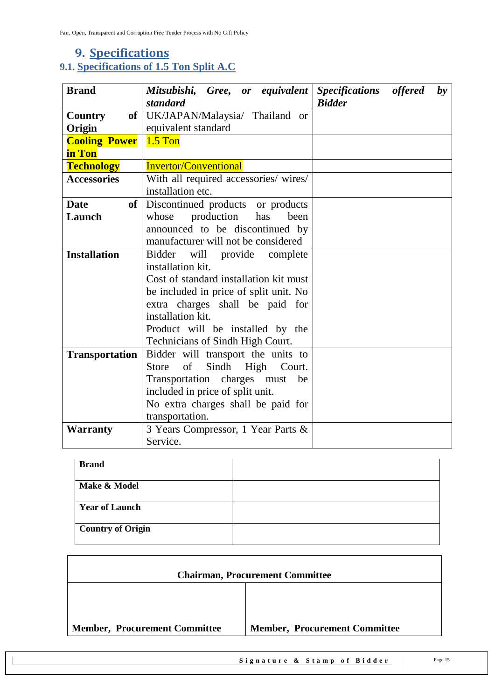## <span id="page-14-1"></span><span id="page-14-0"></span>**9. Specifications 9.1. Specifications of 1.5 Ton Split A.C**

| <b>Brand</b>          | Mitsubishi, Gree, or equivalent<br>standard   | Specifications offered<br><b>Bidder</b> | $\mathbf{b}\mathbf{v}$ |
|-----------------------|-----------------------------------------------|-----------------------------------------|------------------------|
| Country               | of UK/JAPAN/Malaysia/ Thailand or             |                                         |                        |
| Origin                | equivalent standard                           |                                         |                        |
| <b>Cooling Power</b>  | $1.5$ Ton                                     |                                         |                        |
| in Ton                |                                               |                                         |                        |
| <b>Technology</b>     | <b>Invertor/Conventional</b>                  |                                         |                        |
| <b>Accessories</b>    | With all required accessories/ wires/         |                                         |                        |
|                       | installation etc.                             |                                         |                        |
| <b>Date</b><br>of     | Discontinued products or products             |                                         |                        |
| Launch                | production<br>has<br>whose<br>been            |                                         |                        |
|                       | announced to be discontinued by               |                                         |                        |
|                       | manufacturer will not be considered           |                                         |                        |
| <b>Installation</b>   | Bidder will provide complete                  |                                         |                        |
|                       | installation kit.                             |                                         |                        |
|                       | Cost of standard installation kit must        |                                         |                        |
|                       | be included in price of split unit. No        |                                         |                        |
|                       | extra charges shall be paid for               |                                         |                        |
|                       | installation kit.                             |                                         |                        |
|                       | Product will be installed by the              |                                         |                        |
|                       | Technicians of Sindh High Court.              |                                         |                        |
| <b>Transportation</b> | Bidder will transport the units to            |                                         |                        |
|                       | Sindh<br>of<br>High<br><b>Store</b><br>Court. |                                         |                        |
|                       | Transportation charges must<br>be             |                                         |                        |
|                       | included in price of split unit.              |                                         |                        |
|                       | No extra charges shall be paid for            |                                         |                        |
|                       | transportation.                               |                                         |                        |
| <b>Warranty</b>       | 3 Years Compressor, 1 Year Parts &            |                                         |                        |
|                       | Service.                                      |                                         |                        |

| <b>Brand</b>             |  |
|--------------------------|--|
| Make & Model             |  |
| <b>Year of Launch</b>    |  |
| <b>Country of Origin</b> |  |

| <b>Chairman, Procurement Committee</b> |                                      |  |  |  |  |
|----------------------------------------|--------------------------------------|--|--|--|--|
|                                        |                                      |  |  |  |  |
| <b>Member, Procurement Committee</b>   | <b>Member, Procurement Committee</b> |  |  |  |  |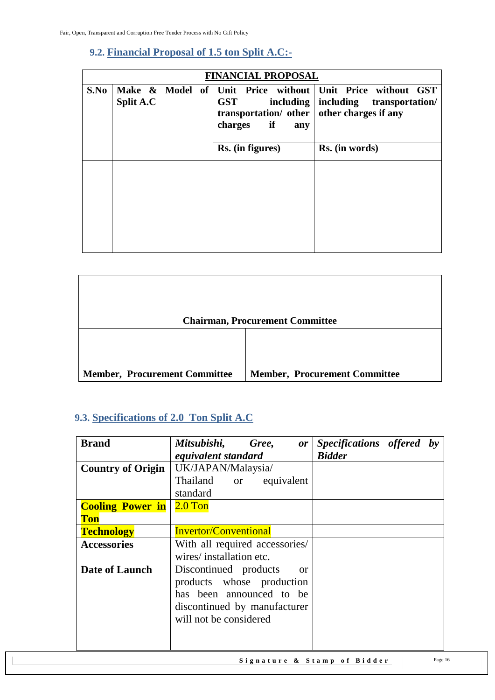### <span id="page-15-0"></span>**9.2. Financial Proposal of 1.5 ton Split A.C:-**

|      | <b>FINANCIAL PROPOSAL</b> |  |  |                                                                                 |                                                                                                                   |  |
|------|---------------------------|--|--|---------------------------------------------------------------------------------|-------------------------------------------------------------------------------------------------------------------|--|
| S.No | <b>Split A.C</b>          |  |  | <b>GST</b><br><i>including</i><br>transportation/ other<br>if<br>charges<br>any | Make & Model of Unit Price without Unit Price without GST<br>including<br>transportation/<br>other charges if any |  |
|      |                           |  |  | Rs. (in figures)                                                                | Rs. (in words)                                                                                                    |  |
|      |                           |  |  |                                                                                 |                                                                                                                   |  |

|                                      | <b>Chairman, Procurement Committee</b> |
|--------------------------------------|----------------------------------------|
| <b>Member, Procurement Committee</b> | <b>Member, Procurement Committee</b>   |

## <span id="page-15-1"></span>**9.3. Specifications of 2.0 Ton Split A.C**

| <b>Brand</b>                          | Mitsubishi, Gree, or<br>equivalent standard                                                                                                               | Specifications offered by<br><b>Bidder</b> |
|---------------------------------------|-----------------------------------------------------------------------------------------------------------------------------------------------------------|--------------------------------------------|
| <b>Country of Origin</b>              | UK/JAPAN/Malaysia/<br>Thailand or equivalent                                                                                                              |                                            |
|                                       | standard                                                                                                                                                  |                                            |
| <b>Cooling Power in</b><br><b>Ton</b> | $2.0$ Ton                                                                                                                                                 |                                            |
| <b>Technology</b>                     | <b>Invertor/Conventional</b>                                                                                                                              |                                            |
| <b>Accessories</b>                    | With all required accessories/<br>wires/installation etc.                                                                                                 |                                            |
| Date of Launch                        | Discontinued products<br><sub>or</sub><br>products whose production<br>has been announced to be<br>discontinued by manufacturer<br>will not be considered |                                            |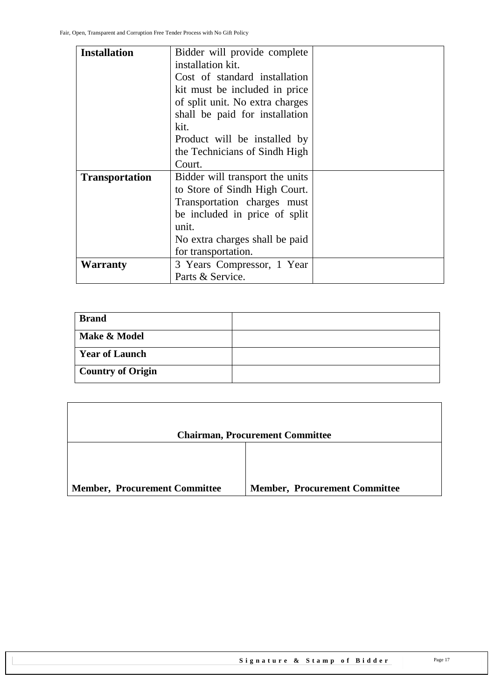Г

| <b>Installation</b>   | Bidder will provide complete    |  |
|-----------------------|---------------------------------|--|
|                       | installation kit.               |  |
|                       | Cost of standard installation   |  |
|                       | kit must be included in price   |  |
|                       | of split unit. No extra charges |  |
|                       | shall be paid for installation  |  |
|                       | kit.                            |  |
|                       | Product will be installed by    |  |
|                       | the Technicians of Sindh High   |  |
|                       | Court.                          |  |
| <b>Transportation</b> | Bidder will transport the units |  |
|                       | to Store of Sindh High Court.   |  |
|                       | Transportation charges must     |  |
|                       | be included in price of split   |  |
|                       | unit.                           |  |
|                       | No extra charges shall be paid  |  |
|                       | for transportation.             |  |
| Warranty              | 3 Years Compressor, 1 Year      |  |
|                       | Parts & Service.                |  |

| <b>Brand</b>             |  |
|--------------------------|--|
| Make & Model             |  |
| <b>Year of Launch</b>    |  |
| <b>Country of Origin</b> |  |

|                                      | <b>Chairman, Procurement Committee</b> |
|--------------------------------------|----------------------------------------|
|                                      |                                        |
| <b>Member, Procurement Committee</b> | <b>Member, Procurement Committee</b>   |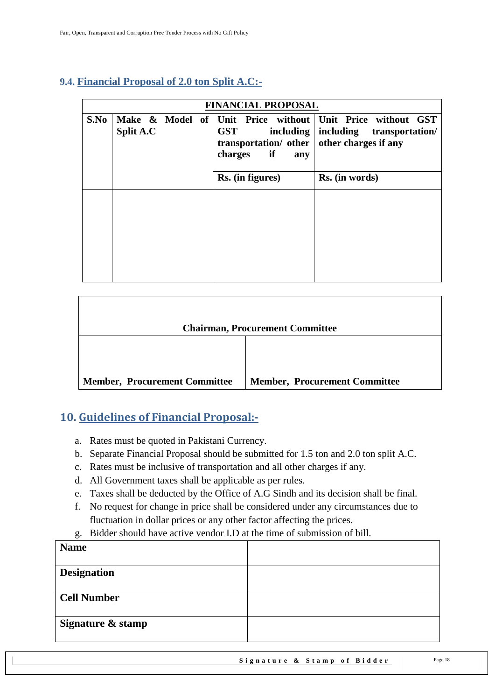### <span id="page-17-0"></span>**9.4. Financial Proposal of 2.0 ton Split A.C:-**

|      | <b>FINANCIAL PROPOSAL</b> |  |  |                                                                                                      |                                                                                        |  |  |
|------|---------------------------|--|--|------------------------------------------------------------------------------------------------------|----------------------------------------------------------------------------------------|--|--|
| S.No | <b>Split A.C</b>          |  |  | <b>GST</b><br>including $\vert$<br>transportation/ other   other charges if any<br>charges if<br>any | Make & Model of Unit Price without Unit Price without GST<br>including transportation/ |  |  |
|      |                           |  |  | Rs. (in figures)                                                                                     | Rs. (in words)                                                                         |  |  |
|      |                           |  |  |                                                                                                      |                                                                                        |  |  |

|                                      | <b>Chairman, Procurement Committee</b> |
|--------------------------------------|----------------------------------------|
|                                      |                                        |
| <b>Member, Procurement Committee</b> | <b>Member, Procurement Committee</b>   |

### <span id="page-17-1"></span>**10. Guidelines of Financial Proposal:-**

- a. Rates must be quoted in Pakistani Currency.
- b. Separate Financial Proposal should be submitted for 1.5 ton and 2.0 ton split A.C.
- c. Rates must be inclusive of transportation and all other charges if any.
- d. All Government taxes shall be applicable as per rules.
- e. Taxes shall be deducted by the Office of A.G Sindh and its decision shall be final.
- f. No request for change in price shall be considered under any circumstances due to fluctuation in dollar prices or any other factor affecting the prices.
- g. Bidder should have active vendor I.D at the time of submission of bill.

| <b>Name</b>        |  |
|--------------------|--|
| <b>Designation</b> |  |
| <b>Cell Number</b> |  |
| Signature & stamp  |  |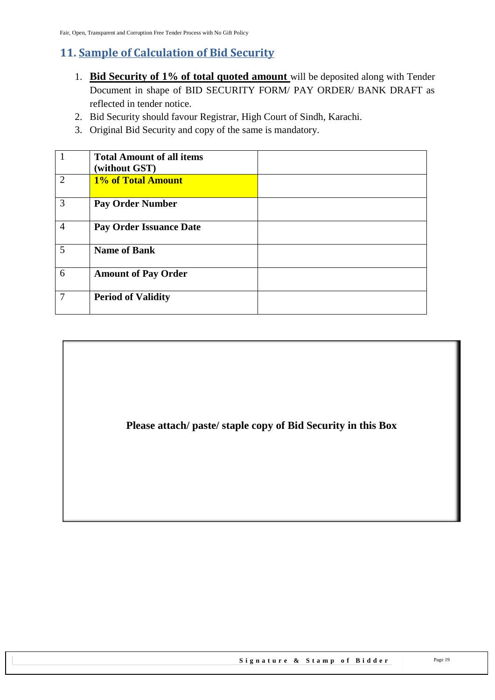## <span id="page-18-0"></span>**11. Sample of Calculation of Bid Security**

- 1. **Bid Security of 1% of total quoted amount** will be deposited along with Tender Document in shape of BID SECURITY FORM/ PAY ORDER/ BANK DRAFT as reflected in tender notice.
- 2. Bid Security should favour Registrar, High Court of Sindh, Karachi.
- 3. Original Bid Security and copy of the same is mandatory.

|                | <b>Total Amount of all items</b><br>(without GST) |  |
|----------------|---------------------------------------------------|--|
| $\overline{2}$ | 1% of Total Amount                                |  |
| 3              | <b>Pay Order Number</b>                           |  |
| $\overline{4}$ | <b>Pay Order Issuance Date</b>                    |  |
| 5              | <b>Name of Bank</b>                               |  |
| 6              | <b>Amount of Pay Order</b>                        |  |
| 7              | <b>Period of Validity</b>                         |  |

**Please attach/ paste/ staple copy of Bid Security in this Box**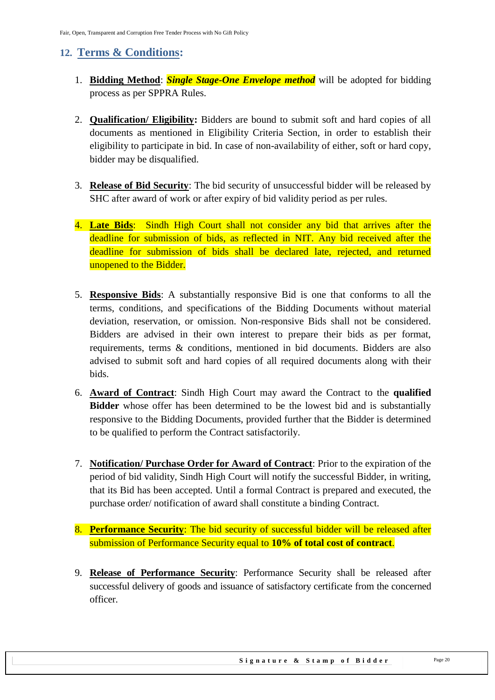## <span id="page-19-0"></span>**12. Terms & Conditions:**

- 1. **Bidding Method**: *Single Stage-One Envelope method* will be adopted for bidding process as per SPPRA Rules.
- 2. **Qualification/ Eligibility:** Bidders are bound to submit soft and hard copies of all documents as mentioned in Eligibility Criteria Section, in order to establish their eligibility to participate in bid. In case of non-availability of either, soft or hard copy, bidder may be disqualified.
- 3. **Release of Bid Security**: The bid security of unsuccessful bidder will be released by SHC after award of work or after expiry of bid validity period as per rules.
- 4. **Late Bids**: Sindh High Court shall not consider any bid that arrives after the deadline for submission of bids, as reflected in NIT. Any bid received after the deadline for submission of bids shall be declared late, rejected, and returned unopened to the Bidder.
- 5. **Responsive Bids**: A substantially responsive Bid is one that conforms to all the terms, conditions, and specifications of the Bidding Documents without material deviation, reservation, or omission. Non-responsive Bids shall not be considered. Bidders are advised in their own interest to prepare their bids as per format, requirements, terms & conditions, mentioned in bid documents. Bidders are also advised to submit soft and hard copies of all required documents along with their bids.
- 6. **Award of Contract**: Sindh High Court may award the Contract to the **qualified Bidder** whose offer has been determined to be the lowest bid and is substantially responsive to the Bidding Documents, provided further that the Bidder is determined to be qualified to perform the Contract satisfactorily.
- 7. **Notification/ Purchase Order for Award of Contract**: Prior to the expiration of the period of bid validity, Sindh High Court will notify the successful Bidder, in writing, that its Bid has been accepted. Until a formal Contract is prepared and executed, the purchase order/ notification of award shall constitute a binding Contract.
- 8. **Performance Security**: The bid security of successful bidder will be released after submission of Performance Security equal to **10% of total cost of contract**.
- 9. **Release of Performance Security**: Performance Security shall be released after successful delivery of goods and issuance of satisfactory certificate from the concerned officer.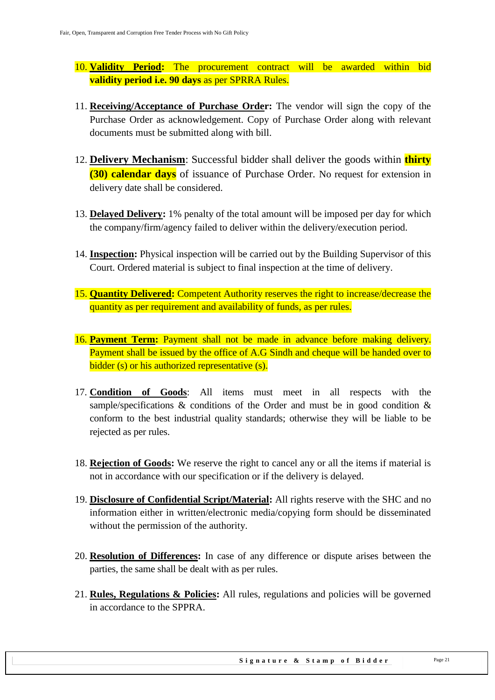- 10. **Validity Period:** The procurement contract will be awarded within bid **validity period i.e. 90 days** as per SPRRA Rules.
- 11. **Receiving/Acceptance of Purchase Order:** The vendor will sign the copy of the Purchase Order as acknowledgement. Copy of Purchase Order along with relevant documents must be submitted along with bill.
- 12. **Delivery Mechanism**: Successful bidder shall deliver the goods within **thirty (30) calendar days** of issuance of Purchase Order. No request for extension in delivery date shall be considered.
- 13. **Delayed Delivery:** 1% penalty of the total amount will be imposed per day for which the company/firm/agency failed to deliver within the delivery/execution period.
- 14. **Inspection:** Physical inspection will be carried out by the Building Supervisor of this Court. Ordered material is subject to final inspection at the time of delivery.
- 15. **Quantity Delivered:** Competent Authority reserves the right to increase/decrease the quantity as per requirement and availability of funds, as per rules.
- 16. **Payment Term:** Payment shall not be made in advance before making delivery. Payment shall be issued by the office of A.G Sindh and cheque will be handed over to bidder (s) or his authorized representative (s).
- 17. **Condition of Goods**: All items must meet in all respects with the sample/specifications & conditions of the Order and must be in good condition & conform to the best industrial quality standards; otherwise they will be liable to be rejected as per rules.
- 18. **Rejection of Goods:** We reserve the right to cancel any or all the items if material is not in accordance with our specification or if the delivery is delayed.
- 19. **Disclosure of Confidential Script/Material:** All rights reserve with the SHC and no information either in written/electronic media/copying form should be disseminated without the permission of the authority.
- 20. **Resolution of Differences:** In case of any difference or dispute arises between the parties, the same shall be dealt with as per rules.
- 21. **Rules, Regulations & Policies:** All rules, regulations and policies will be governed in accordance to the SPPRA.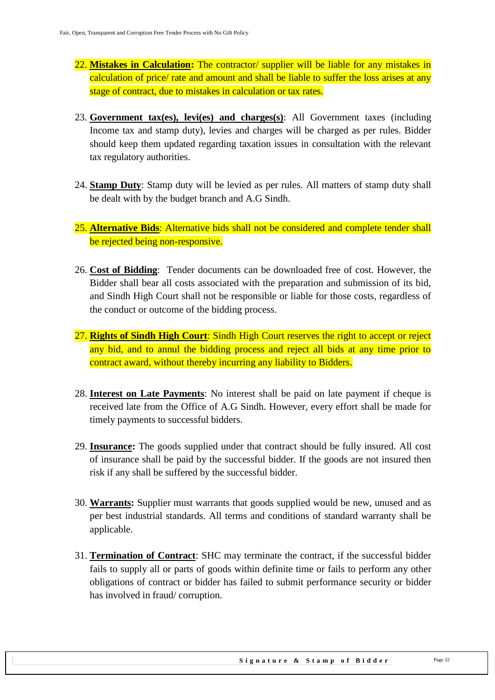- 22. **Mistakes in Calculation:** The contractor/ supplier will be liable for any mistakes in calculation of price/ rate and amount and shall be liable to suffer the loss arises at any stage of contract, due to mistakes in calculation or tax rates.
- 23. **Government tax(es), levi(es) and charges(s)**: All Government taxes (including Income tax and stamp duty), levies and charges will be charged as per rules. Bidder should keep them updated regarding taxation issues in consultation with the relevant tax regulatory authorities.
- 24. **Stamp Duty**: Stamp duty will be levied as per rules. All matters of stamp duty shall be dealt with by the budget branch and A.G Sindh.
- 25. **Alternative Bids**: Alternative bids shall not be considered and complete tender shall be rejected being non-responsive.
- 26. **Cost of Bidding**: Tender documents can be downloaded free of cost. However, the Bidder shall bear all costs associated with the preparation and submission of its bid, and Sindh High Court shall not be responsible or liable for those costs, regardless of the conduct or outcome of the bidding process.
- 27. **Rights of Sindh High Court**: Sindh High Court reserves the right to accept or reject any bid, and to annul the bidding process and reject all bids at any time prior to contract award, without thereby incurring any liability to Bidders.
- 28. **Interest on Late Payments**: No interest shall be paid on late payment if cheque is received late from the Office of A.G Sindh. However, every effort shall be made for timely payments to successful bidders.
- 29. **Insurance:** The goods supplied under that contract should be fully insured. All cost of insurance shall be paid by the successful bidder. If the goods are not insured then risk if any shall be suffered by the successful bidder.
- 30. **Warrants:** Supplier must warrants that goods supplied would be new, unused and as per best industrial standards. All terms and conditions of standard warranty shall be applicable.
- 31. **Termination of Contract**: SHC may terminate the contract, if the successful bidder fails to supply all or parts of goods within definite time or fails to perform any other obligations of contract or bidder has failed to submit performance security or bidder has involved in fraud/ corruption.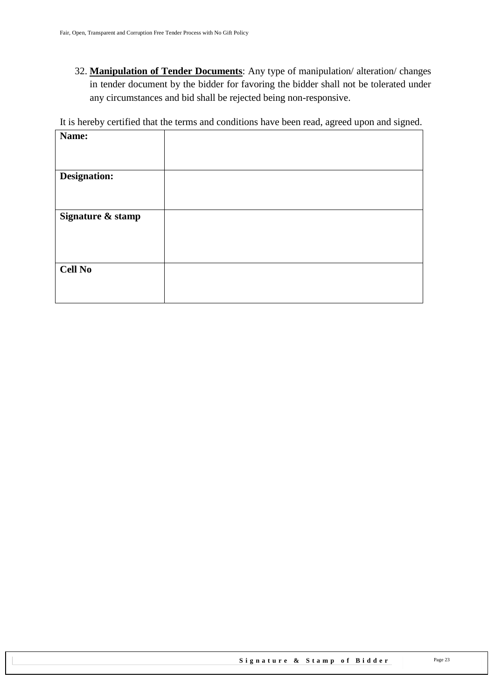32. **Manipulation of Tender Documents**: Any type of manipulation/ alteration/ changes in tender document by the bidder for favoring the bidder shall not be tolerated under any circumstances and bid shall be rejected being non-responsive.

It is hereby certified that the terms and conditions have been read, agreed upon and signed.

| Name:               |  |
|---------------------|--|
|                     |  |
|                     |  |
| <b>Designation:</b> |  |
|                     |  |
|                     |  |
|                     |  |
| Signature & stamp   |  |
|                     |  |
|                     |  |
|                     |  |
|                     |  |
| <b>Cell No</b>      |  |
|                     |  |
|                     |  |
|                     |  |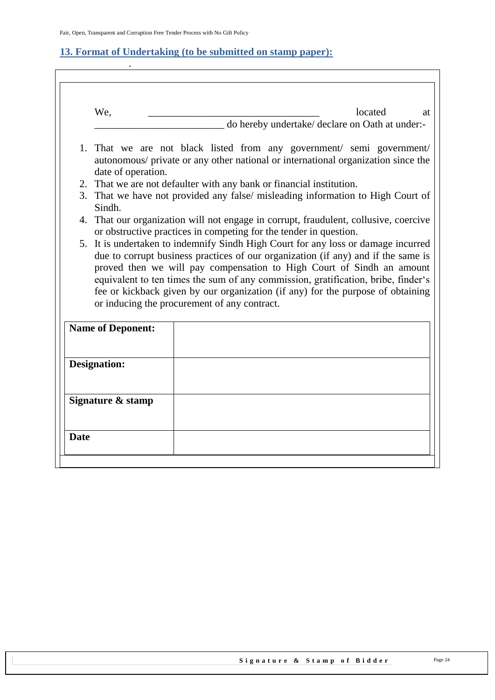.

 $\overline{\Gamma}$ 

#### <span id="page-23-0"></span>**13. Format of Undertaking (to be submitted on stamp paper):**

| We,                                                                             | located<br>at                                                                                                                                                                                                                                                                                                                                                                                                                                                           |
|---------------------------------------------------------------------------------|-------------------------------------------------------------------------------------------------------------------------------------------------------------------------------------------------------------------------------------------------------------------------------------------------------------------------------------------------------------------------------------------------------------------------------------------------------------------------|
|                                                                                 | do hereby undertake/ declare on Oath at under:-                                                                                                                                                                                                                                                                                                                                                                                                                         |
| date of operation.                                                              | 1. That we are not black listed from any government/ semi government/<br>autonomous/ private or any other national or international organization since the                                                                                                                                                                                                                                                                                                              |
|                                                                                 | 2. That we are not defaulter with any bank or financial institution.                                                                                                                                                                                                                                                                                                                                                                                                    |
| 3. That we have not provided any false/ misleading information to High Court of |                                                                                                                                                                                                                                                                                                                                                                                                                                                                         |
| Sindh.                                                                          |                                                                                                                                                                                                                                                                                                                                                                                                                                                                         |
|                                                                                 | 4. That our organization will not engage in corrupt, fraudulent, collusive, coercive<br>or obstructive practices in competing for the tender in question.                                                                                                                                                                                                                                                                                                               |
|                                                                                 | 5. It is undertaken to indemnify Sindh High Court for any loss or damage incurred<br>due to corrupt business practices of our organization (if any) and if the same is<br>proved then we will pay compensation to High Court of Sindh an amount<br>equivalent to ten times the sum of any commission, gratification, bribe, finder's<br>fee or kickback given by our organization (if any) for the purpose of obtaining<br>or inducing the procurement of any contract. |
| <b>Name of Deponent:</b>                                                        |                                                                                                                                                                                                                                                                                                                                                                                                                                                                         |
| <b>Designation:</b>                                                             |                                                                                                                                                                                                                                                                                                                                                                                                                                                                         |
| Signature & stamp                                                               |                                                                                                                                                                                                                                                                                                                                                                                                                                                                         |
|                                                                                 |                                                                                                                                                                                                                                                                                                                                                                                                                                                                         |